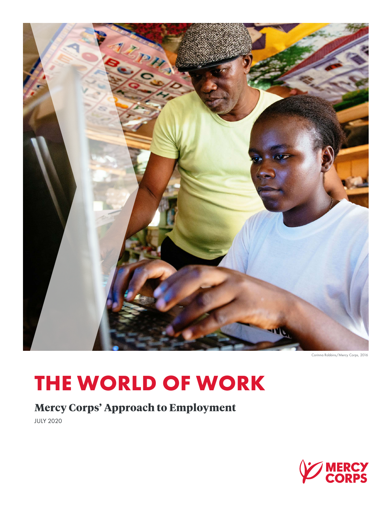

Corinna Robbins/Mercy Corps, 2016

# **THE WORLD OF WORK**

**Mercy Corps' Approach to Employment**

JULY 2020

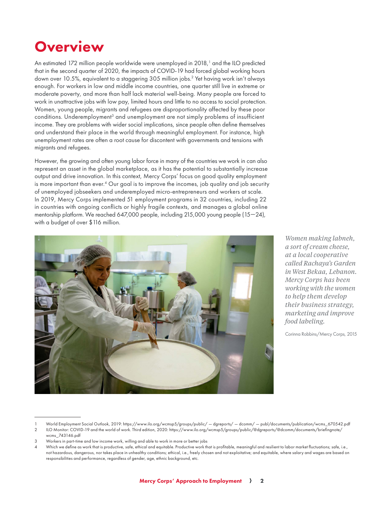## **Overview**

An estimated 172 million people worldwide were unemployed in 2018,<sup>1</sup> and the ILO predicted that in the second quarter of 2020, the impacts of COVID-19 had forced global working hours down over 10.5%, equivalent to a staggering 305 million jobs.<sup>2</sup> Yet having work isn't always enough. For workers in low and middle income countries, one quarter still live in extreme or moderate poverty, and more than half lack material well-being. Many people are forced to work in unattractive jobs with low pay, limited hours and little to no access to social protection. Women, young people, migrants and refugees are disproportionality affected by these poor conditions. Underemployment<sup>3</sup> and unemployment are not simply problems of insufficient income. They are problems with wider social implications, since people often define themselves and understand their place in the world through meaningful employment. For instance, high unemployment rates are often a root cause for discontent with governments and tensions with migrants and refugees.

However, the growing and often young labor force in many of the countries we work in can also represent an asset in the global marketplace, as it has the potential to substantially increase output and drive innovation. In this context, Mercy Corps' focus on good quality employment is more important than ever.4 Our goal is to improve the incomes, job quality and job security of unemployed jobseekers and underemployed micro-entrepreneurs and workers at scale. In 2019, Mercy Corps implemented 51 employment programs in 32 countries, including 22 in countries with ongoing conflicts or highly fragile contexts, and manages a global online mentorship platform. We reached 647,000 people, including 215,000 young people (15—24), with a budget of over \$116 million.



*Women making labneh, a sort of cream cheese, at a local cooperative called Rachaya's Garden in West Bekaa, Lebanon. Mercy Corps has been working with the women to help them develop their business strategy, marketing and improve food labeling.*

Corinna Robbins/Mercy Corps, 2015

<sup>1</sup> World Employment Social Outlook, 2019: https://www.ilo.org/wcmsp5/groups/public/ — dgreports/ — dcomm/ — publ/documents/publication/wcms\_670542.pdf

<sup>2</sup> ILO Monitor: COVID-19 and the world of work. Third edition, 2020: https://www.ilo.org/wcmsp5/groups/public/@dgreports/@dcomm/documents/briefingnote/ wcms\_743146.pdf

<sup>3</sup> Workers in part-time and low income work, willing and able to work in more or better jobs

<sup>4</sup> Which we define as work that is productive, safe, ethical and equitable. Productive work that is profitable, meaningful and resilient to labor market fluctuations; safe, i.e., not hazardous, dangerous, nor takes place in unhealthy conditions; ethical, i.e., freely chosen and not exploitative; and equitable, where salary and wages are based on responsibilities and performance, regardless of gender, age, ethnic background, etc.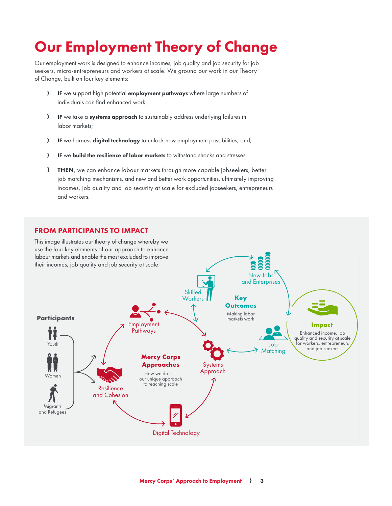## Our Employment Theory of Change

Our employment work is designed to enhance incomes, job quality and job security for job seekers, micro-entrepreneurs and workers at scale. We ground our work in our Theory of Change, built on four key elements:

- > IF we support high potential employment pathways where large numbers of individuals can find enhanced work;
- $\sum$  IF we take a systems approach to sustainably address underlying failures in labor markets;
- **A IF** we harness digital technology to unlock new employment possibilities; and,
- $\}$  IF we build the resilience of labor markets to withstand shocks and stresses.
- **FHEN**, we can enhance labour markets through more capable jobseekers, better job matching mechanisms, and new and better work opportunities, ultimately improving incomes, job quality and job security at scale for excluded jobseekers, entrepreneurs and workers.

#### FROM PARTICIPANTS TO IMPACT

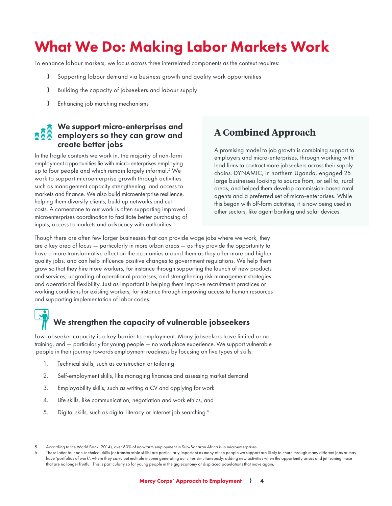## What We Do: Making Labor Markets Work

To enhance labour markets, we focus across three interrelated components as the context requires:

- A Supporting labour demand via business growth and quality work opportunities
- A Building the capacity of jobseekers and labour supply
- A Enhancing job matching mechanisms

#### We support micro-enterprises and employers so they can grow and create better jobs

In the fragile contexts we work in, the majority of non-farm employment opportunities lie with micro-enterprises employing up to four people and which remain largely informal.<sup>5</sup> We work to support microenterprise growth through activities such as management capacity strengthening, and access to markets and finance. We also build microenterprise resilience, helping them diversify clients, build up networks and cut costs. A cornerstone to our work is often supporting improved microenterprises coordination to facilitate better purchasing of inputs, access to markets and advocacy with authorities.

#### **A Combined Approach**

A promising model to job growth is combining support to employers and micro-enterprises, through working with lead firms to contract more jobseekers across their supply chains. DYNAMIC, in northern Uganda, engaged 25 large businesses looking to source from, or sell to, rural areas, and helped them develop commission-based rural agents and a preferred set of micro-enterprises. While this began with off-farm activities, it is now being used in other sectors, like agent banking and solar devices.

Though there are often few larger businesses that can provide wage jobs where we work, they are a key area of focus — particularly in more urban areas — as they provide the opportunity to have a more transformative effect on the economies around them as they offer more and higher quality jobs, and can help influence positive changes to government regulations. We help them grow so that they hire more workers, for instance through supporting the launch of new products and services, upgrading of operational processes, and strengthening risk management strategies and operational flexibility. Just as important is helping them improve recruitment practices or working conditions for existing workers, for instance through improving access to human resources and supporting implementation of labor codes.

### We strengthen the capacity of vulnerable jobseekers

Low jobseeker capacity is a key barrier to employment. Many jobseekers have limited or no training, and — particularly for young people — no workplace experience. We support vulnerable people in their journey towards employment readiness by focusing on five types of skills:

- 1. Technical skills, such as construction or tailoring
- 2. Self-employment skills, like managing finances and assessing market demand
- 3. Employability skills, such as writing a CV and applying for work
- 4. Life skills, like communication, negotiation and work ethics, and
- 5. Digital skills, such as digital literacy or internet job searching.<sup>6</sup>

<sup>5</sup> According to the World Bank (2014), over 60% of non-farm employment in Sub-Saharan Africa is in microenterprises

<sup>6</sup> These latter four non-technical skills (or transferrable skills) are particularly important as many of the people we support are likely to churn through many different jobs or may have 'portfolios of work', where they carry out multiple income generating activities simultaneously, adding new activities when the opportunity arises and jettisoning those that are no longer fruitful. This is particularly so for young people in the gig economy or displaced populations that move again.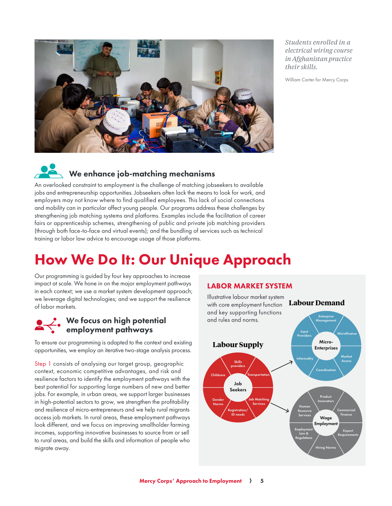

*Students enrolled in a electrical wiring course in Afghanistan practice their skills.* 

William Carter for Mercy Corps

### We enhance job-matching mechanisms

An overlooked constraint to employment is the challenge of matching jobseekers to available jobs and entrepreneurship opportunities. Jobseekers often lack the means to look for work, and employers may not know where to find qualified employees. This lack of social connections and mobility can in particular affect young people. Our programs address these challenges by strengthening job matching systems and platforms. Examples include the facilitation of career fairs or apprenticeship schemes, strengthening of public and private job matching providers (through both face-to-face and virtual events); and the bundling of services such as technical training or labor law advice to encourage usage of those platforms.

## How We Do It: Our Unique Approach

Our programming is guided by four key approaches to increase impact at scale. We hone in on the major employment pathways in each context; we use a market system development approach; we leverage digital technologies; and we support the resilience of labor markets.

#### We focus on high potential employment pathways

To ensure our programming is adapted to the context and existing opportunities, we employ an iterative two-stage analysis process.

Step 1 consists of analysing our target group, geographic context, economic competitive advantages, and risk and resilience factors to identify the employment pathways with the best potential for supporting large numbers of new and better jobs. For example, in urban areas, we support larger businesses in high-potential sectors to grow, we strengthen the profitability and resilience of micro-entrepreneurs and we help rural migrants access job markets. In rural areas, these employment pathways look different, and we focus on improving smallholder farming incomes, supporting innovative businesses to source from or sell to rural areas, and build the skills and information of people who migrate away.

#### LABOR MARKET SYSTEM

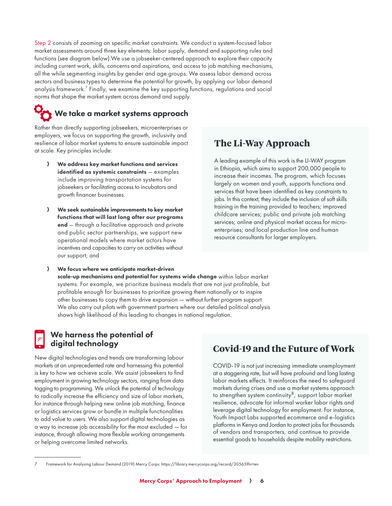Step 2 consists of zooming on specific market constraints. We conduct a system-focused labor market assessments around three key elements: labor supply, demand and supporting rules and functions (see diagram below).We use a jobseeker-centered approach to explore their capacity including current work, skills, concerns and aspirations, and access to job matching mechanisms, all the while segmenting insights by gender and age groups. We assess labor demand across sectors and business types to determine the potential for growth, by applying our labor demand analysis framework.7 Finally, we examine the key supporting functions, regulations and social norms that shape the market system across demand and supply.

### We take a market systems approach

Rather than directly supporting jobseekers, microenterprises or employers, we focus on supporting the growth, inclusivity and resilience of labor market systems to ensure sustainable impact at scale. Key principles include:

- A We address key market functions and services identified as systemic constraints - examples include improving transportation systems for jobseekers or facilitating access to incubators and growth financer businesses.
- A We seek sustainable improvements to key market functions that will last long after our programs end — through a facilitative approach and private and public sector partnerships, we support new operational models where market actors have incentives and capacities to carry on activities without our support; and

#### **The Li-Way Approach**

A leading example of this work is the LI-WAY program in Ethiopia, which aims to support 200,000 people to increase their incomes. The program, which focuses largely on women and youth, supports functions and services that have been identified as key constraints to jobs. In this context, they include the inclusion of soft skills training in the training provided to teachers; improved childcare services; public and private job matching services; online and physical market access for microenterprises; and local production line and human resource consultants for larger employers.

A We focus where we anticipate market-driven scale-up mechanisms and potential for systems wide change within labor market systems. For example, we prioritize business models that are not just profitable, but profitable enough for businesses to prioritize growing them nationally or to inspire other businesses to copy them to drive expansion — without further program support. We also carry out pilots with government partners where our detailed political analysis shows high likelihood of this leading to changes in national regulation.

#### We harness the potential of digital technology

New digital technologies and trends are transforming labour markets at an unprecedented rate and harnessing this potential is key to how we achieve scale. We assist jobseekers to find employment in growing technology sectors, ranging from data tagging to programming. We unlock the potential of technology to radically increase the efficiency and size of labor markets, for instance through helping new online job matching, finance or logistics services grow or bundle in multiple functionalities to add value to users. We also support digital technologies as a way to increase job accessibility for the most excluded — for instance, through allowing more flexible working arrangements or helping overcome limited networks.

### **Covid-19 and the Future of Work**

COVID-19 is not just increasing immediate unemployment at a staggering rate, but will have profound and long lasting labor markets effects. It reinforces the need to safeguard markets during crises and use a market systems approach to strengthen system continuity<sup>8</sup>, support labor market resilience, advocate for informal worker labor rights and leverage digital technology for employment. For instance, Youth Impact Labs supported ecommerce and e-logistics platforms in Kenya and Jordan to protect jobs for thousands of vendors and transporters, and continue to provide essential goods to households despite mobility restrictions.

<sup>7</sup> Framework for Analysing Labour Demand (2019) Mercy Corps: https://library.mercycorps.org/record/30565?ln=en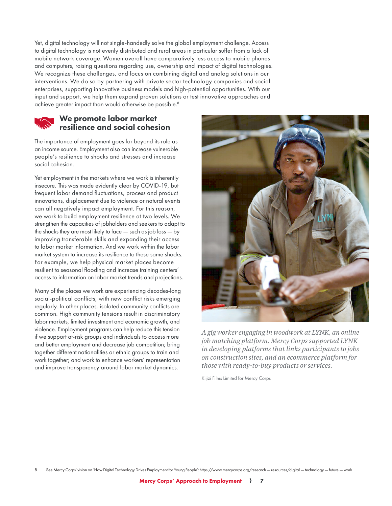Yet, digital technology will not single-handedly solve the global employment challenge. Access to digital technology is not evenly distributed and rural areas in particular suffer from a lack of mobile network coverage. Women overall have comparatively less access to mobile phones and computers, raising questions regarding use, ownership and impact of digital technologies. We recognize these challenges, and focus on combining digital and analog solutions in our interventions. We do so by partnering with private sector technology companies and social enterprises, supporting innovative business models and high-potential opportunities. With our input and support, we help them expand proven solutions or test innovative approaches and achieve greater impact than would otherwise be possible.<sup>8</sup>

#### We promote labor market resilience and social cohesion

The importance of employment goes far beyond its role as an income source. Employment also can increase vulnerable people's resilience to shocks and stresses and increase social cohesion.

Yet employment in the markets where we work is inherently insecure. This was made evidently clear by COVID-19, but frequent labor demand fluctuations, process and product innovations, displacement due to violence or natural events can all negatively impact employment. For this reason, we work to build employment resilience at two levels. We strengthen the capacities of jobholders and seekers to adapt to the shocks they are most likely to face — such as job loss — by improving transferable skills and expanding their access to labor market information. And we work within the labor market system to increase its resilience to these same shocks. For example, we help physical market places become resilient to seasonal flooding and increase training centers' access to information on labor market trends and projections.

Many of the places we work are experiencing decades-long social-political conflicts, with new conflict risks emerging regularly. In other places, isolated community conflicts are common. High community tensions result in discriminatory labor markets, limited investment and economic growth, and violence. Employment programs can help reduce this tension if we support at-risk groups and individuals to access more and better employment and decrease job competition; bring together different nationalities or ethnic groups to train and work together; and work to enhance workers' representation and improve transparency around labor market dynamics.



*A gig worker engaging in woodwork at LYNK, an online job matching platform. Mercy Corps supported LYNK in developing platforms that links participants to jobs on construction sites, and an ecommerce platform for those with ready-to-buy products or services.*

Kijizi Films Limited for Mercy Corps

<sup>8</sup> See Mercy Corps' vision on 'How Digital Technology Drives Employment for Young People': https://www.mercycorps.org/research — resources/digital — technology — future — work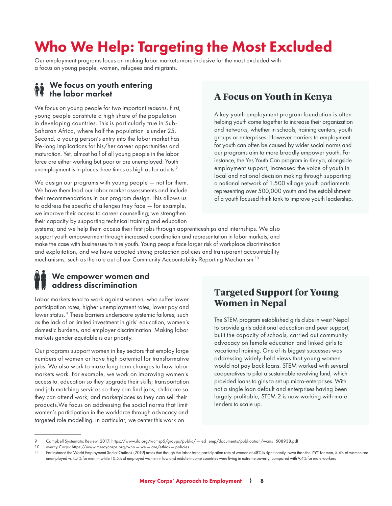## Who We Help: Targeting the Most Excluded

Our employment programs focus on making labor markets more inclusive for the most excluded with a focus on young people, women, refugees and migrants.

#### We focus on youth entering the labor market

We focus on young people for two important reasons. First, young people constitute a high share of the population in developing countries. This is particularly true in Sub‐ Saharan Africa, where half the population is under 25. Second, a young person's entry into the labor market has life-long implications for his/her career opportunities and maturation. Yet, almost half of all young people in the labor force are either working but poor or are unemployed. Youth unemployment is in places three times as high as for adults.<sup>9</sup>

We design our programs with young people — not for them. We have them lead our labor market assessments and include their recommendations in our program design. This allows us to address the specific challenges they face — for example, we improve their access to career counselling; we strengthen their capacity by supporting technical training and education

#### **A Focus on Youth in Kenya**

A key youth employment program foundation is often helping youth come together to increase their organization and networks, whether in schools, training centers, youth groups or enterprises. However barriers to employment for youth can often be caused by wider social norms and our programs aim to more broadly empower youth. For instance, the Yes Youth Can program in Kenya, alongside employment support, increased the voice of youth in local and national decision making through supporting a national network of 1,500 village youth parliaments representing over 500,000 youth and the establishment of a youth focused think tank to improve youth leadership.

systems; and we help them access their first jobs through apprenticeships and internships. We also support youth empowerment through increased coordination and representation in labor markets, and make the case with businesses to hire youth. Young people face larger risk of workplace discrimination and exploitation, and we have adopted strong protection policies and transparent accountability mechanisms, such as the role out of our Community Accountability Reporting Mechanism.10

#### We empower women and address discrimination

Labor markets tend to work against women, who suffer lower participation rates, higher unemployment rates, lower pay and lower status.<sup>11</sup> These barriers underscore systemic failures, such as the lack of or limited investment in girls' education, women's domestic burdens, and employer discrimination. Making labor markets gender equitable is our priority.

Our programs support women in key sectors that employ large numbers of women or have high potential for transformative jobs. We also work to make long-term changes to how labor markets work. For example, we work on improving women's access to: education so they upgrade their skills; transportation and job matching services so they can find jobs; childcare so they can attend work; and marketplaces so they can sell their products.We focus on addressing the social norms that limit women's participation in the workforce through advocacy and targeted role modelling. In particular, we center this work on

### **Targeted Support for Young Women in Nepal**

The STEM program established girls clubs in west Nepal to provide girls additional education and peer support, built the capacity of schools, carried out community advocacy on female education and linked girls to vocational training. One of its biggest successes was addressing widely-held views that young women would not pay back loans. STEM worked with several cooperatives to pilot a sustainable revolving fund, which provided loans to girls to set up micro-enterprises. With not a single loan default and enterprises having been largely profitable, STEM 2 is now working with more lenders to scale up.

<sup>9</sup> Campbell Systematic Review, 2017: https://www.ilo.org/wcmsp5/groups/public/ — ed\_emp/documents/publication/wcms\_508938.pdf

<sup>10</sup> Mercy Corps: https://www.mercycorps.org/who — we — are/ethics — policies

<sup>11</sup> For instance the World Employment Social Outlook (2019) notes that though the labor force participation rate of women at 48% is significantly lower than the 75% for men, 5.4% of women are unemployed vs 4.7% for men — while 10.5% of employed women in low and middle income countries were living in extreme poverty, compared with 9.4% for male workers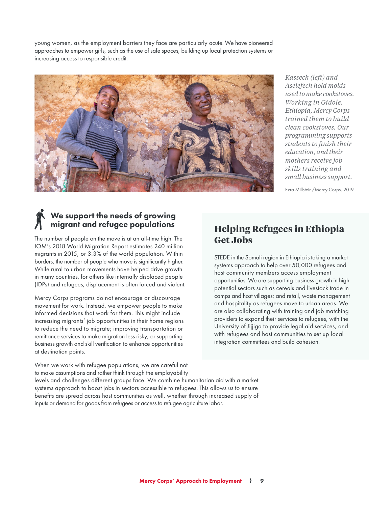young women, as the employment barriers they face are particularly acute. We have pioneered approaches to empower girls, such as the use of safe spaces, building up local protection systems or increasing access to responsible credit.



*Kassech (left) and Aselefech hold molds used to make cookstoves. Working in Gidole, Ethiopia, Mercy Corps trained them to build clean cookstoves. Our programming supports students to finish their education, and their mothers receive job skills training and small business support.*

Ezra Millstein/Mercy Corps, 2019

#### We support the needs of growing migrant and refugee populations

The number of people on the move is at an all-time high. The IOM's 2018 World Migration Report estimates 240 million migrants in 2015, or 3.3% of the world population. Within borders, the number of people who move is significantly higher. While rural to urban movements have helped drive growth in many countries, for others like internally displaced people (IDPs) and refugees, displacement is often forced and violent.

Mercy Corps programs do not encourage or discourage movement for work. Instead, we empower people to make informed decisions that work for them. This might include increasing migrants' job opportunities in their home regions to reduce the need to migrate; improving transportation or remittance services to make migration less risky; or supporting business growth and skill verification to enhance opportunities at destination points.

When we work with refugee populations, we are careful not to make assumptions and rather think through the employability

levels and challenges different groups face. We combine humanitarian aid with a market systems approach to boost jobs in sectors accessible to refugees. This allows us to ensure benefits are spread across host communities as well, whether through increased supply of inputs or demand for goods from refugees or access to refugee agriculture labor.

#### **Helping Refugees in Ethiopia Get Jobs**

STEDE in the Somali region in Ethiopia is taking a market systems approach to help over 50,000 refugees and host community members access employment opportunities. We are supporting business growth in high potential sectors such as cereals and livestock trade in camps and host villages; and retail, waste management and hospitality as refugees move to urban areas. We are also collaborating with training and job matching providers to expand their services to refugees, with the University of Jijjiga to provide legal aid services, and with refugees and host communities to set up local integration committees and build cohesion.